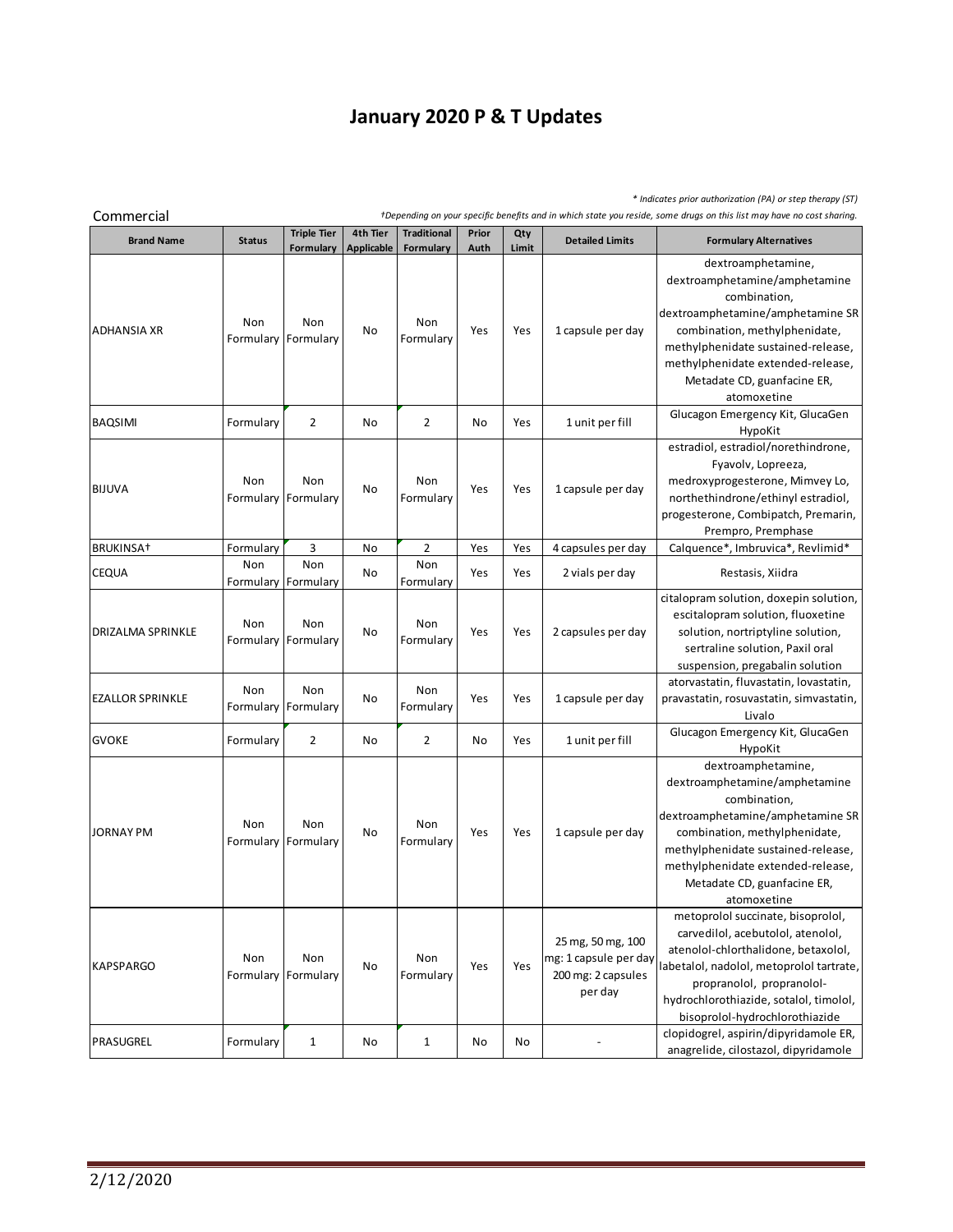## **January 2020 P & T Updates**

*\* Indicates prior authorization (PA) or step therapy (ST)*

 $\sim$ 

| <b>Brand Name</b>       | <b>Status</b> | <b>Triple Tier</b><br>Formulary | 4th Tier<br><b>Applicable</b> | <b>Traditional</b><br>Formulary | Prior<br>Auth | Qty<br>Limit | <b>Detailed Limits</b>                                                      | <b>Formulary Alternatives</b>                                                                                                                                                                                                                                      |
|-------------------------|---------------|---------------------------------|-------------------------------|---------------------------------|---------------|--------------|-----------------------------------------------------------------------------|--------------------------------------------------------------------------------------------------------------------------------------------------------------------------------------------------------------------------------------------------------------------|
| <b>ADHANSIA XR</b>      | Non           | Non<br>Formulary Formulary      | No                            | Non<br>Formulary                | Yes           | Yes          | 1 capsule per day                                                           | dextroamphetamine,<br>dextroamphetamine/amphetamine<br>combination,<br>dextroamphetamine/amphetamine SR<br>combination, methylphenidate,<br>methylphenidate sustained-release,<br>methylphenidate extended-release,<br>Metadate CD, guanfacine ER,<br>atomoxetine  |
| <b>BAQSIMI</b>          | Formulary     | 2                               | No                            | 2                               | No            | Yes          | 1 unit per fill                                                             | Glucagon Emergency Kit, GlucaGen<br>HypoKit                                                                                                                                                                                                                        |
| <b>BIJUVA</b>           | Non           | Non<br>Formulary Formulary      | No                            | Non<br>Formulary                | Yes           | Yes          | 1 capsule per day                                                           | estradiol, estradiol/norethindrone,<br>Fyavolv, Lopreeza,<br>medroxyprogesterone, Mimvey Lo,<br>northethindrone/ethinyl estradiol,<br>progesterone, Combipatch, Premarin,<br>Prempro, Premphase                                                                    |
| BRUKINSA <sup>+</sup>   | Formulary     | 3                               | No                            | 2                               | Yes           | Yes          | 4 capsules per day                                                          | Calquence*, Imbruvica*, Revlimid*                                                                                                                                                                                                                                  |
| <b>CEQUA</b>            | Non           | Non<br>Formulary Formulary      | No                            | Non<br>Formulary                | Yes           | Yes          | 2 vials per day                                                             | Restasis, Xiidra                                                                                                                                                                                                                                                   |
| DRIZALMA SPRINKLE       | Non           | Non<br>Formulary Formulary      | No                            | Non<br>Formulary                | Yes           | Yes          | 2 capsules per day                                                          | citalopram solution, doxepin solution,<br>escitalopram solution, fluoxetine<br>solution, nortriptyline solution,<br>sertraline solution, Paxil oral                                                                                                                |
| <b>EZALLOR SPRINKLE</b> | Non           | Non<br>Formulary Formulary      | No                            | Non<br>Formulary                | Yes           | Yes          | 1 capsule per day                                                           | suspension, pregabalin solution<br>atorvastatin, fluvastatin, lovastatin,<br>pravastatin, rosuvastatin, simvastatin,<br>Livalo                                                                                                                                     |
| <b>GVOKE</b>            | Formulary     | 2                               | No                            | 2                               | No            | Yes          | 1 unit per fill                                                             | Glucagon Emergency Kit, GlucaGen<br>HypoKit                                                                                                                                                                                                                        |
| JORNAY PM               | Non           | Non<br>Formulary Formulary      | No                            | Non<br>Formulary                | Yes           | Yes          | 1 capsule per day                                                           | dextroamphetamine,<br>dextroamphetamine/amphetamine<br>combination,<br>dextroamphetamine/amphetamine SR<br>combination, methylphenidate,<br>methylphenidate sustained-release,<br>methylphenidate extended-release,<br>Metadate CD, guanfacine ER,<br>atomoxetine  |
| <b>KAPSPARGO</b>        | Non           | Non<br>Formulary Formulary      | No                            | Non<br>Formulary                | Yes           | Yes          | 25 mg, 50 mg, 100<br>mg: 1 capsule per day<br>200 mg: 2 capsules<br>per day | metoprolol succinate, bisoprolol,<br>carvedilol, acebutolol, atenolol,<br>atenolol-chlorthalidone, betaxolol,<br>labetalol, nadolol, metoprolol tartrate,<br>propranolol, propranolol-<br>hydrochlorothiazide, sotalol, timolol,<br>bisoprolol-hydrochlorothiazide |
| PRASUGREL               | Formulary     | $\mathbf{1}$                    | No                            | $\mathbf{1}$                    | No            | No           |                                                                             | clopidogrel, aspirin/dipyridamole ER,<br>anagrelide, cilostazol, dipyridamole                                                                                                                                                                                      |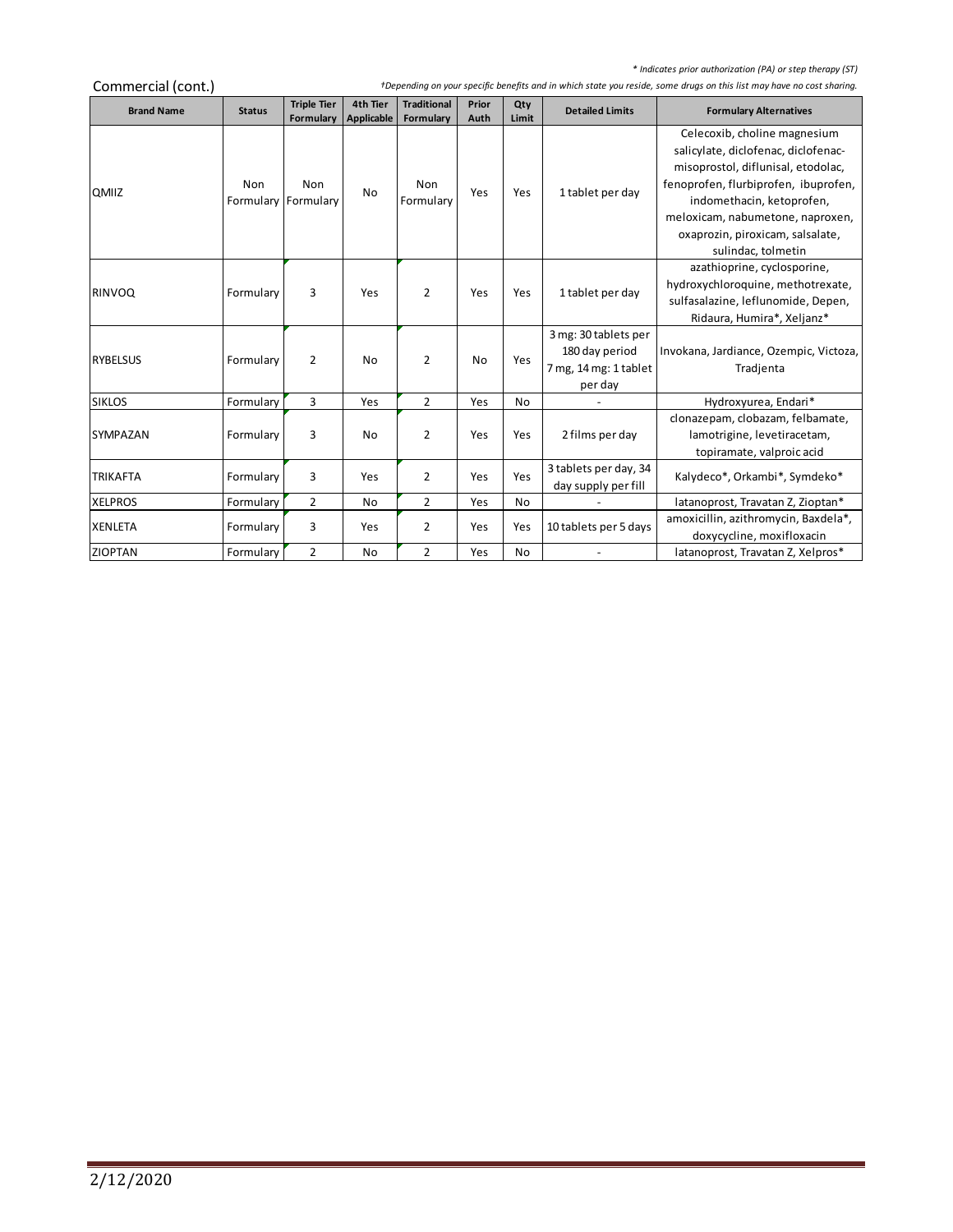*\* Indicates prior authorization (PA) or step therapy (ST)*

 $\sim$ 

| Commercial (cont.) |               | <b>Triple Tier</b> | 4th Tier   | <b>Traditional</b> | Prior | Qty       |                                              |                                        |
|--------------------|---------------|--------------------|------------|--------------------|-------|-----------|----------------------------------------------|----------------------------------------|
| <b>Brand Name</b>  | <b>Status</b> | Formulary          | Applicable | Formulary          | Auth  | Limit     | <b>Detailed Limits</b>                       | <b>Formulary Alternatives</b>          |
|                    |               |                    |            |                    |       |           |                                              | Celecoxib, choline magnesium           |
|                    |               |                    |            |                    |       |           |                                              | salicylate, diclofenac, diclofenac-    |
|                    |               |                    |            |                    |       |           |                                              | misoprostol, diflunisal, etodolac,     |
| QMIIZ              | Non           | Non                | No         | Non                | Yes   | Yes       | 1 tablet per day                             | fenoprofen, flurbiprofen, ibuprofen,   |
|                    | Formulary     | Formulary          |            | Formulary          |       |           |                                              | indomethacin, ketoprofen,              |
|                    |               |                    |            |                    |       |           |                                              | meloxicam, nabumetone, naproxen,       |
|                    |               |                    |            |                    |       |           |                                              | oxaprozin, piroxicam, salsalate,       |
|                    |               |                    |            |                    |       |           |                                              | sulindac, tolmetin                     |
|                    |               |                    |            |                    |       |           |                                              | azathioprine, cyclosporine,            |
| <b>RINVOQ</b>      | Formulary     | 3                  | Yes        | $\overline{2}$     | Yes   | Yes       | 1 tablet per day                             | hydroxychloroquine, methotrexate,      |
|                    |               |                    |            |                    |       |           |                                              | sulfasalazine, leflunomide, Depen,     |
|                    |               |                    |            |                    |       |           |                                              | Ridaura, Humira*, Xeljanz*             |
|                    |               |                    |            |                    |       |           | 3 mg: 30 tablets per                         |                                        |
| <b>RYBELSUS</b>    | Formulary     | $\overline{2}$     | No         | 2                  | No    | Yes       | 180 day period                               | Invokana, Jardiance, Ozempic, Victoza, |
|                    |               |                    |            |                    |       |           | 7 mg, 14 mg: 1 tablet                        | Tradjenta                              |
|                    |               |                    |            |                    |       |           | per day                                      |                                        |
| <b>SIKLOS</b>      | Formulary     | 3                  | Yes        | $\overline{2}$     | Yes   | <b>No</b> |                                              | Hydroxyurea, Endari*                   |
|                    |               |                    |            |                    |       |           |                                              | clonazepam, clobazam, felbamate,       |
| <b>SYMPAZAN</b>    | Formulary     | 3                  | No         | $\overline{2}$     | Yes   | Yes       | 2 films per day                              | lamotrigine, levetiracetam,            |
|                    |               |                    |            |                    |       |           |                                              | topiramate, valproic acid              |
| <b>TRIKAFTA</b>    | Formulary     | 3                  | Yes        | $\overline{2}$     | Yes   | Yes       | 3 tablets per day, 34<br>day supply per fill | Kalydeco*, Orkambi*, Symdeko*          |
| <b>XELPROS</b>     | Formulary     | $\overline{2}$     | No         | 2                  | Yes   | No        |                                              | latanoprost, Travatan Z, Zioptan*      |
|                    |               |                    |            |                    |       |           |                                              | amoxicillin, azithromycin, Baxdela*,   |
| <b>XENLETA</b>     | Formulary     | 3                  | Yes        | 2                  | Yes   | Yes       | 10 tablets per 5 days                        | doxycycline, moxifloxacin              |
| <b>ZIOPTAN</b>     | Formulary     | $\overline{2}$     | <b>No</b>  | $\overline{2}$     | Yes   | No        | $\overline{\phantom{a}}$                     | latanoprost, Travatan Z, Xelpros*      |
|                    |               |                    |            |                    |       |           |                                              |                                        |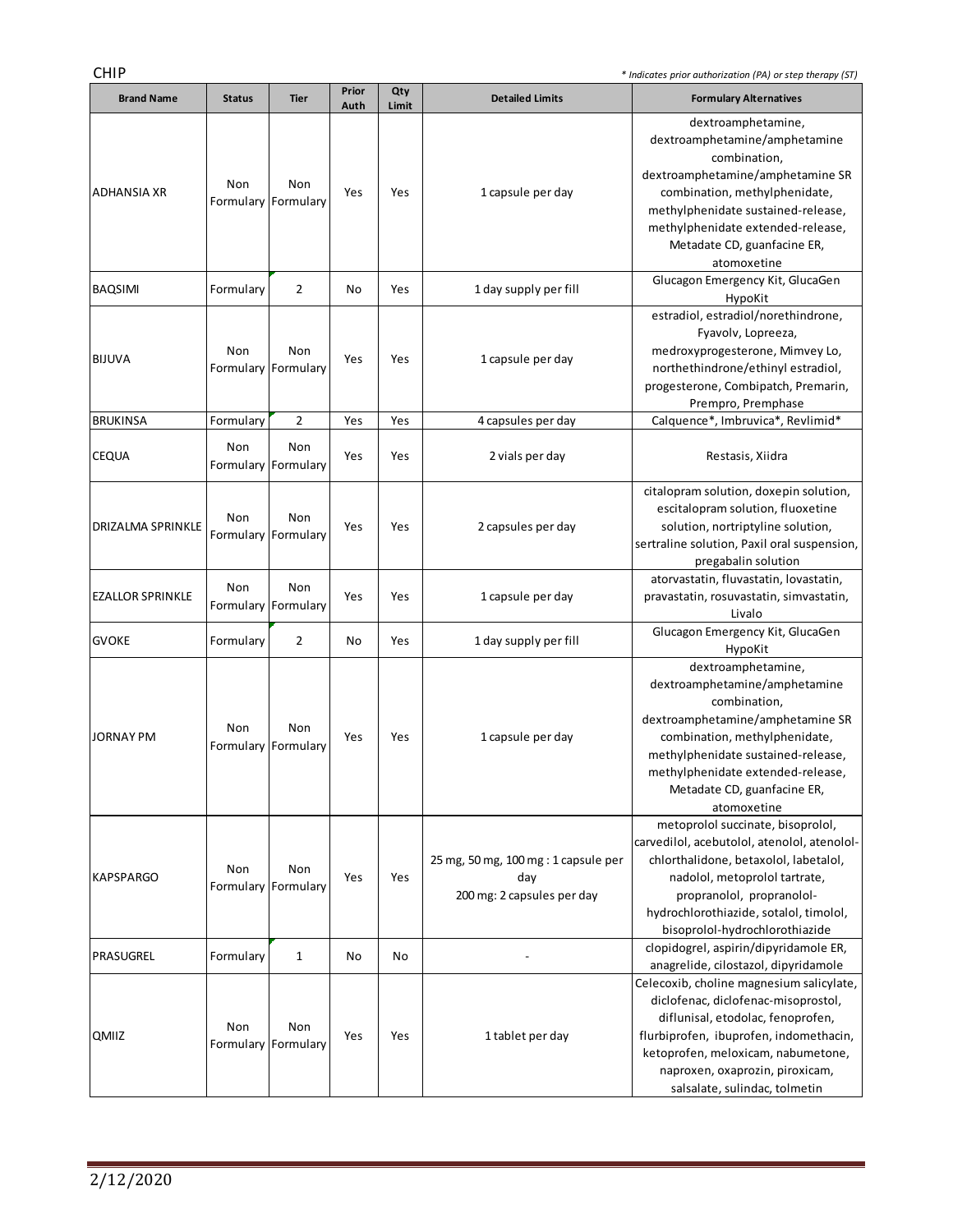÷,

| <b>Brand Name</b>       | <b>Status</b>              | <b>Tier</b>                | Prior<br>Auth | Qty<br>Limit | <b>Detailed Limits</b>                                                    | <b>Formulary Alternatives</b>                                                                                                                                                                                                                                                                                    |
|-------------------------|----------------------------|----------------------------|---------------|--------------|---------------------------------------------------------------------------|------------------------------------------------------------------------------------------------------------------------------------------------------------------------------------------------------------------------------------------------------------------------------------------------------------------|
| ADHANSIA XR             | Non                        | Non<br>Formulary Formulary | Yes           | Yes          | 1 capsule per day                                                         | dextroamphetamine,<br>dextroamphetamine/amphetamine<br>combination,<br>dextroamphetamine/amphetamine SR<br>combination, methylphenidate,<br>methylphenidate sustained-release,<br>methylphenidate extended-release,<br>Metadate CD, guanfacine ER,<br>atomoxetine                                                |
| <b>BAQSIMI</b>          | Formulary                  | 2                          | No            | Yes          | 1 day supply per fill                                                     | Glucagon Emergency Kit, GlucaGen<br>HypoKit                                                                                                                                                                                                                                                                      |
| <b>BIJUVA</b>           | Non<br>Formulary Formulary | Non                        | Yes           | Yes          | 1 capsule per day                                                         | estradiol, estradiol/norethindrone,<br>Fyavolv, Lopreeza,<br>medroxyprogesterone, Mimvey Lo,<br>northethindrone/ethinyl estradiol,<br>progesterone, Combipatch, Premarin,<br>Prempro, Premphase                                                                                                                  |
| <b>BRUKINSA</b>         | Formulary                  | 2                          | Yes           | Yes          | 4 capsules per day                                                        | Calquence*, Imbruvica*, Revlimid*                                                                                                                                                                                                                                                                                |
| <b>CEQUA</b>            | Non                        | Non<br>Formulary Formulary | Yes           | Yes          | 2 vials per day                                                           | Restasis, Xiidra                                                                                                                                                                                                                                                                                                 |
| DRIZALMA SPRINKLE       | Non                        | Non<br>Formulary Formulary | Yes           | Yes          | 2 capsules per day                                                        | citalopram solution, doxepin solution,<br>escitalopram solution, fluoxetine<br>solution, nortriptyline solution,<br>sertraline solution, Paxil oral suspension,<br>pregabalin solution                                                                                                                           |
| <b>EZALLOR SPRINKLE</b> | Non                        | Non<br>Formulary Formulary | Yes           | Yes          | 1 capsule per day                                                         | atorvastatin, fluvastatin, lovastatin,<br>pravastatin, rosuvastatin, simvastatin,<br>Livalo                                                                                                                                                                                                                      |
| <b>GVOKE</b>            | Formulary                  | $\overline{2}$             | No            | Yes          | 1 day supply per fill                                                     | Glucagon Emergency Kit, GlucaGen<br>HypoKit                                                                                                                                                                                                                                                                      |
| JORNAY PM               | Non                        | Non<br>Formulary Formulary | Yes           | Yes          | 1 capsule per day                                                         | dextroamphetamine,<br>dextroamphetamine/amphetamine<br>combination,<br>dextroamphetamine/amphetamine SR<br>combination, methylphenidate,<br>methylphenidate sustained-release,<br>methylphenidate extended-release,<br>Metadate CD, guanfacine ER,<br>atomoxetine                                                |
| <b>KAPSPARGO</b>        | Non<br>Formulary Formulary | Non                        | Yes           | Yes          | 25 mg, 50 mg, 100 mg : 1 capsule per<br>day<br>200 mg: 2 capsules per day | metoprolol succinate, bisoprolol,<br>carvedilol, acebutolol, atenolol, atenolol-<br>chlorthalidone, betaxolol, labetalol,<br>nadolol, metoprolol tartrate,<br>propranolol, propranolol-<br>hydrochlorothiazide, sotalol, timolol,<br>bisoprolol-hydrochlorothiazide                                              |
| PRASUGREL               | Formulary                  | 1                          | No            | No           |                                                                           | clopidogrel, aspirin/dipyridamole ER,                                                                                                                                                                                                                                                                            |
| QMIIZ                   | Non<br>Formulary Formulary | Non                        | Yes           | Yes          | 1 tablet per day                                                          | anagrelide, cilostazol, dipyridamole<br>Celecoxib, choline magnesium salicylate,<br>diclofenac, diclofenac-misoprostol,<br>diflunisal, etodolac, fenoprofen,<br>flurbiprofen, ibuprofen, indomethacin,<br>ketoprofen, meloxicam, nabumetone,<br>naproxen, oxaprozin, piroxicam,<br>salsalate, sulindac, tolmetin |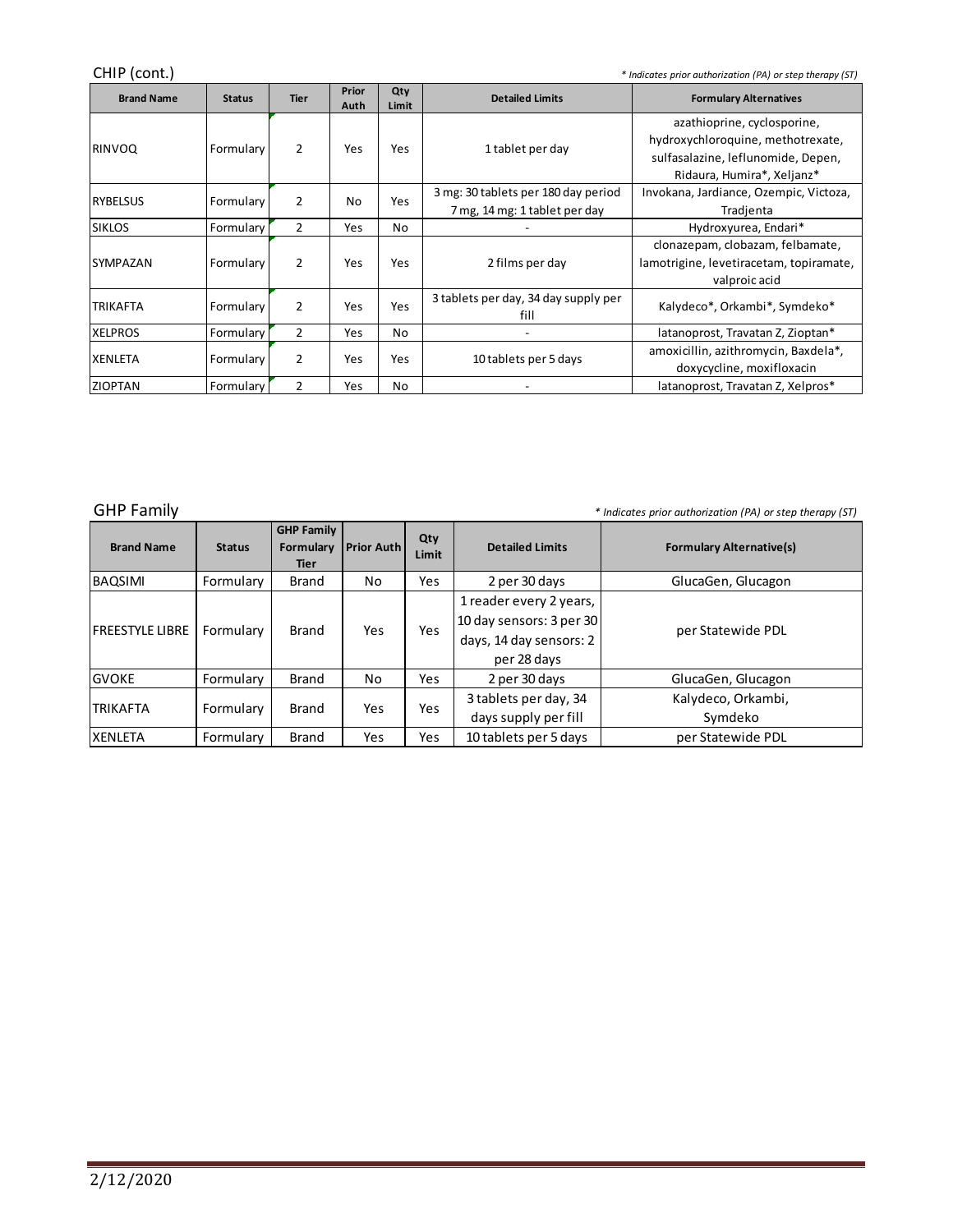CHIP (cont.) *\* Indicates prior authorization (PA) or step therapy (ST)*

| <b>Brand Name</b> | <b>Status</b> | <b>Tier</b>    | Prior<br>Auth | Qty<br>Limit | <b>Detailed Limits</b>                                               | <b>Formulary Alternatives</b>                                                                                                        |
|-------------------|---------------|----------------|---------------|--------------|----------------------------------------------------------------------|--------------------------------------------------------------------------------------------------------------------------------------|
| <b>RINVOQ</b>     | Formulary     | 2              | Yes           | Yes          | 1 tablet per day                                                     | azathioprine, cyclosporine,<br>hydroxychloroquine, methotrexate,<br>sulfasalazine, leflunomide, Depen,<br>Ridaura, Humira*, Xeljanz* |
| <b>RYBELSUS</b>   | Formulary     | $\overline{2}$ | No            | Yes          | 3 mg: 30 tablets per 180 day period<br>7 mg, 14 mg: 1 tablet per day | Invokana, Jardiance, Ozempic, Victoza,<br>Tradjenta                                                                                  |
| <b>SIKLOS</b>     | Formulary     | $\overline{2}$ | Yes           | No           |                                                                      | Hydroxyurea, Endari*                                                                                                                 |
| <b>SYMPAZAN</b>   | Formulary     | 2              | Yes           | Yes          | 2 films per day                                                      | clonazepam, clobazam, felbamate,<br>lamotrigine, levetiracetam, topiramate,<br>valproic acid                                         |
| <b>TRIKAFTA</b>   | Formulary     | 2              | Yes           | Yes          | 3 tablets per day, 34 day supply per<br>fill                         | Kalydeco*, Orkambi*, Symdeko*                                                                                                        |
| <b>XELPROS</b>    | Formulary     | 2              | Yes           | No           | $\blacksquare$                                                       | latanoprost, Travatan Z, Zioptan*                                                                                                    |
| <b>XENLETA</b>    | Formulary     | 2              | Yes           | Yes          | 10 tablets per 5 days                                                | amoxicillin, azithromycin, Baxdela*,<br>doxycycline, moxifloxacin                                                                    |
| <b>ZIOPTAN</b>    | Formulary     | $\overline{2}$ | Yes           | No           | -                                                                    | latanoprost, Travatan Z, Xelpros*                                                                                                    |
|                   |               |                |               |              |                                                                      |                                                                                                                                      |

÷,

| <b>GHP Family</b>       |               |                                               |                   |              |                                                                                               | * Indicates prior authorization (PA) or step therapy (ST) |
|-------------------------|---------------|-----------------------------------------------|-------------------|--------------|-----------------------------------------------------------------------------------------------|-----------------------------------------------------------|
| <b>Brand Name</b>       | <b>Status</b> | <b>GHP Family</b><br>Formulary<br><b>Tier</b> | <b>Prior Auth</b> | Qty<br>Limit | <b>Detailed Limits</b>                                                                        | <b>Formulary Alternative(s)</b>                           |
| <b>BAQSIMI</b>          | Formulary     | Brand                                         | No                | Yes          | 2 per 30 days                                                                                 | GlucaGen, Glucagon                                        |
| <b>IFREESTYLE LIBRE</b> | Formulary     | <b>Brand</b>                                  | Yes               | Yes          | 1 reader every 2 years,<br>10 day sensors: 3 per 30<br>days, 14 day sensors: 2<br>per 28 days | per Statewide PDL                                         |
| <b>GVOKE</b>            | Formulary     | <b>Brand</b>                                  | No                | Yes          | 2 per 30 days                                                                                 | GlucaGen, Glucagon                                        |
| ITRIKAFTA               | Formulary     | Brand                                         | Yes               | Yes          | 3 tablets per day, 34<br>days supply per fill                                                 | Kalydeco, Orkambi,<br>Symdeko                             |
| <b>XENLETA</b>          | Formulary     | <b>Brand</b>                                  | Yes               | Yes          | 10 tablets per 5 days                                                                         | per Statewide PDL                                         |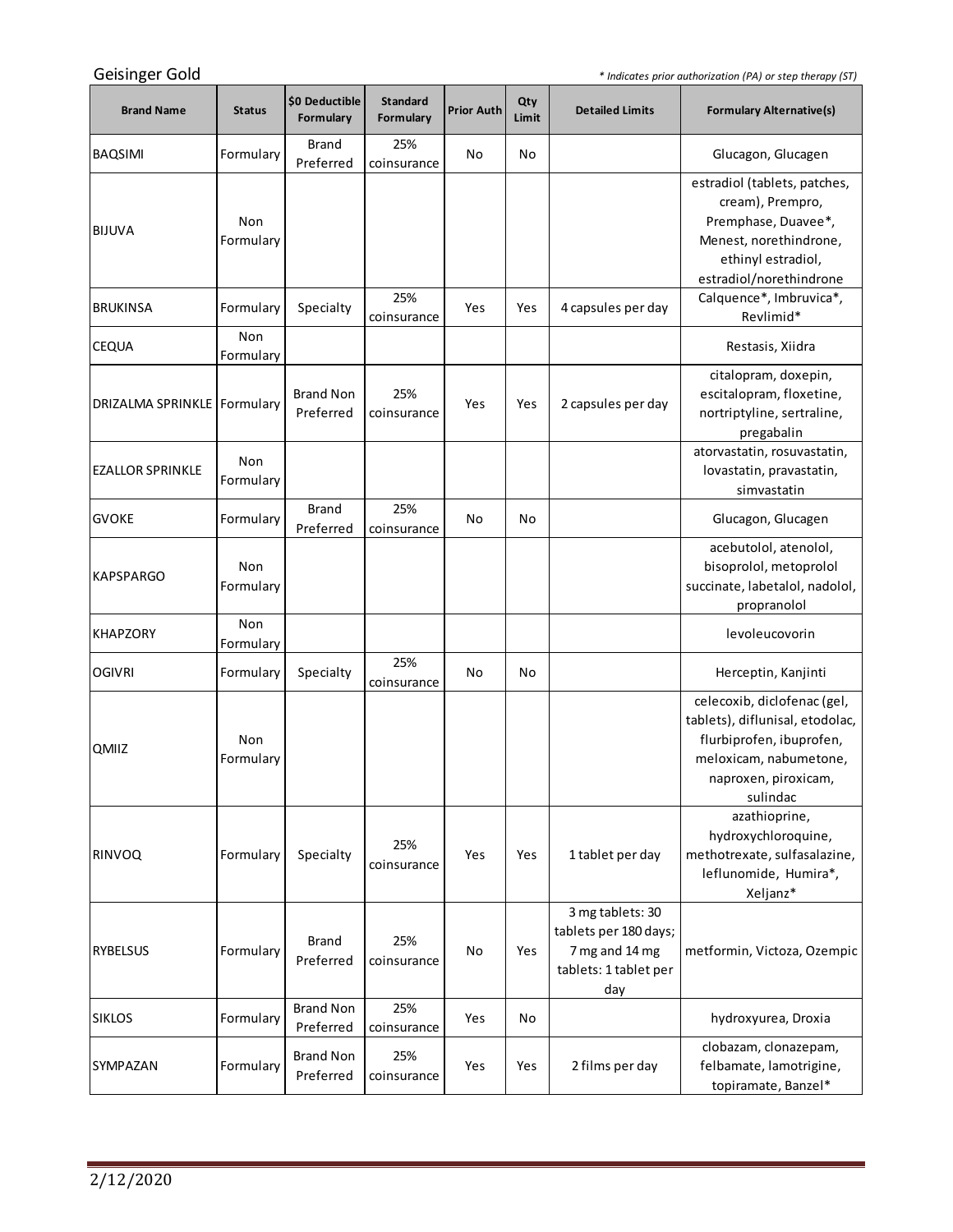the control of the control of the control of

| Geisinger Gold                |                  |                               |                              |                   |              |                                                                                             | * Indicates prior authorization (PA) or step therapy (ST)                                                                                                |
|-------------------------------|------------------|-------------------------------|------------------------------|-------------------|--------------|---------------------------------------------------------------------------------------------|----------------------------------------------------------------------------------------------------------------------------------------------------------|
| <b>Brand Name</b>             | <b>Status</b>    | \$0 Deductible<br>Formulary   | <b>Standard</b><br>Formulary | <b>Prior Auth</b> | Qty<br>Limit | <b>Detailed Limits</b>                                                                      | <b>Formulary Alternative(s)</b>                                                                                                                          |
| <b>BAQSIMI</b>                | Formulary        | Brand<br>Preferred            | 25%<br>coinsurance           | No                | No           |                                                                                             | Glucagon, Glucagen                                                                                                                                       |
| <b>BIJUVA</b>                 | Non<br>Formulary |                               |                              |                   |              |                                                                                             | estradiol (tablets, patches,<br>cream), Prempro,<br>Premphase, Duavee*,<br>Menest, norethindrone,<br>ethinyl estradiol,<br>estradiol/norethindrone       |
| <b>BRUKINSA</b>               | Formulary        | Specialty                     | 25%<br>coinsurance           | Yes               | Yes          | 4 capsules per day                                                                          | Calquence*, Imbruvica*,<br>Revlimid*                                                                                                                     |
| <b>CEQUA</b>                  | Non<br>Formulary |                               |                              |                   |              |                                                                                             | Restasis, Xiidra                                                                                                                                         |
| DRIZALMA SPRINKLE   Formulary |                  | <b>Brand Non</b><br>Preferred | 25%<br>coinsurance           | Yes               | Yes          | 2 capsules per day                                                                          | citalopram, doxepin,<br>escitalopram, floxetine,<br>nortriptyline, sertraline,<br>pregabalin                                                             |
| <b>EZALLOR SPRINKLE</b>       | Non<br>Formulary |                               |                              |                   |              |                                                                                             | atorvastatin, rosuvastatin,<br>lovastatin, pravastatin,<br>simvastatin                                                                                   |
| <b>GVOKE</b>                  | Formulary        | <b>Brand</b><br>Preferred     | 25%<br>coinsurance           | No                | No           |                                                                                             | Glucagon, Glucagen                                                                                                                                       |
| <b>KAPSPARGO</b>              | Non<br>Formulary |                               |                              |                   |              |                                                                                             | acebutolol, atenolol,<br>bisoprolol, metoprolol<br>succinate, labetalol, nadolol,<br>propranolol                                                         |
| <b>KHAPZORY</b>               | Non<br>Formulary |                               |                              |                   |              |                                                                                             | levoleucovorin                                                                                                                                           |
| <b>OGIVRI</b>                 | Formulary        | Specialty                     | 25%<br>coinsurance           | No                | No           |                                                                                             | Herceptin, Kanjinti                                                                                                                                      |
| <b>QMIIZ</b>                  | Non<br>Formulary |                               |                              |                   |              |                                                                                             | celecoxib, diclofenac (gel,<br>tablets), diflunisal, etodolac,<br>flurbiprofen, ibuprofen,<br>meloxicam, nabumetone,<br>naproxen, piroxicam,<br>sulindac |
| RINVOQ                        | Formulary        | Specialty                     | 25%<br>coinsurance           | Yes               | Yes          | 1 tablet per day                                                                            | azathioprine,<br>hydroxychloroquine,<br>methotrexate, sulfasalazine,<br>leflunomide, Humira*,<br>Xeljanz*                                                |
| <b>RYBELSUS</b>               | Formulary        | <b>Brand</b><br>Preferred     | 25%<br>coinsurance           | No                | Yes          | 3 mg tablets: 30<br>tablets per 180 days;<br>7 mg and 14 mg<br>tablets: 1 tablet per<br>day | metformin, Victoza, Ozempic                                                                                                                              |
| <b>SIKLOS</b>                 | Formulary        | <b>Brand Non</b><br>Preferred | 25%<br>coinsurance           | Yes               | No           |                                                                                             | hydroxyurea, Droxia                                                                                                                                      |
| <b>SYMPAZAN</b>               | Formulary        | <b>Brand Non</b><br>Preferred | 25%<br>coinsurance           | Yes               | Yes          | 2 films per day                                                                             | clobazam, clonazepam,<br>felbamate, lamotrigine,<br>topiramate, Banzel*                                                                                  |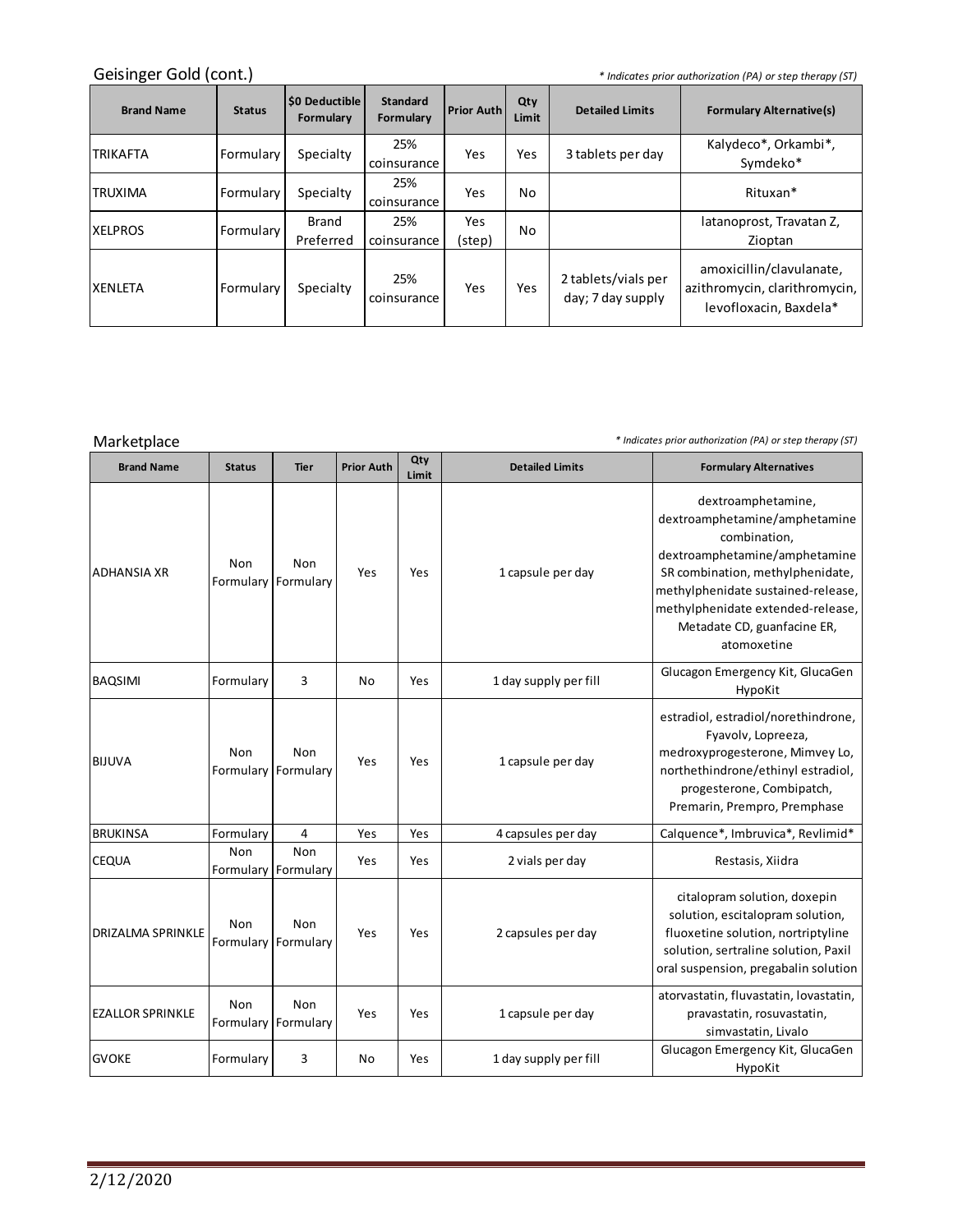## Geisinger Gold (cont.)

*\* Indicates prior authorization (PA) or step therapy (ST)*

<u> 1989 - Johann Barn, mars ar breithinn ar breithinn ar breithinn ar breithinn ar breithinn ar breithinn ar br</u>

| <b>Brand Name</b> | <b>Status</b> | <b>SO Deductible</b><br>Formulary | <b>Standard</b><br>Formulary | <b>Prior Auth</b> | Qty<br>Limit | <b>Detailed Limits</b>                   | <b>Formulary Alternative(s)</b>                                                     |
|-------------------|---------------|-----------------------------------|------------------------------|-------------------|--------------|------------------------------------------|-------------------------------------------------------------------------------------|
| ITRIKAFTA         | Formularv     | Specialty                         | 25%<br>coinsurance           | Yes               | Yes          | 3 tablets per day                        | Kalydeco*, Orkambi*,<br>Symdeko*                                                    |
| ITRUXIMA          | Formulary     | Specialty                         | 25%<br>coinsurance           | Yes               | No           |                                          | Rituxan*                                                                            |
| <b>XELPROS</b>    | Formulary     | Brand<br>Preferred                | 25%<br>coinsurance           | Yes<br>(step)     | No           |                                          | latanoprost, Travatan Z,<br>Zioptan                                                 |
| <b>XENLETA</b>    | Formulary     | Specialty                         | 25%<br>coinsurance           | Yes               | Yes          | 2 tablets/vials per<br>day; 7 day supply | amoxicillin/clavulanate,<br>azithromycin, clarithromycin,<br>levofloxacin, Baxdela* |

| Marketplace              |                         |                              |                   |              | * Indicates prior authorization (PA) or step therapy (ST) |                                                                                                                                                                                                                                                                   |  |
|--------------------------|-------------------------|------------------------------|-------------------|--------------|-----------------------------------------------------------|-------------------------------------------------------------------------------------------------------------------------------------------------------------------------------------------------------------------------------------------------------------------|--|
| <b>Brand Name</b>        | <b>Status</b>           | <b>Tier</b>                  | <b>Prior Auth</b> | Qty<br>Limit | <b>Detailed Limits</b>                                    | <b>Formulary Alternatives</b>                                                                                                                                                                                                                                     |  |
| ADHANSIA XR              | <b>Non</b><br>Formulary | Non<br>Formulary             | Yes               | Yes          | 1 capsule per day                                         | dextroamphetamine,<br>dextroamphetamine/amphetamine<br>combination,<br>dextroamphetamine/amphetamine<br>SR combination, methylphenidate,<br>methylphenidate sustained-release,<br>methylphenidate extended-release,<br>Metadate CD, guanfacine ER,<br>atomoxetine |  |
| <b>BAQSIMI</b>           | Formulary               | 3                            | No                | Yes          | 1 day supply per fill                                     | Glucagon Emergency Kit, GlucaGen<br>HypoKit                                                                                                                                                                                                                       |  |
| <b>BIJUVA</b>            | Non                     | Non<br>Formulary Formulary   | Yes               | Yes          | 1 capsule per day                                         | estradiol, estradiol/norethindrone,<br>Fyavolv, Lopreeza,<br>medroxyprogesterone, Mimvey Lo,<br>northethindrone/ethinyl estradiol,<br>progesterone, Combipatch,<br>Premarin, Prempro, Premphase                                                                   |  |
| <b>BRUKINSA</b>          | Formulary               | 4                            | Yes               | Yes          | 4 capsules per day                                        | Calquence*, Imbruvica*, Revlimid*                                                                                                                                                                                                                                 |  |
| CEQUA                    | <b>Non</b>              | Non<br>Formulary   Formulary | Yes               | Yes          | 2 vials per day                                           | Restasis, Xiidra                                                                                                                                                                                                                                                  |  |
| <b>DRIZALMA SPRINKLE</b> | Non                     | Non<br>Formulary Formulary   | Yes               | Yes          | 2 capsules per day                                        | citalopram solution, doxepin<br>solution, escitalopram solution,<br>fluoxetine solution, nortriptyline<br>solution, sertraline solution, Paxil<br>oral suspension, pregabalin solution                                                                            |  |
| <b>EZALLOR SPRINKLE</b>  | <b>Non</b>              | Non<br>Formulary Formulary   | Yes               | Yes          | 1 capsule per day                                         | atorvastatin, fluvastatin, lovastatin,<br>pravastatin, rosuvastatin,<br>simvastatin, Livalo                                                                                                                                                                       |  |
| <b>GVOKE</b>             | Formulary               | 3                            | No                | Yes          | 1 day supply per fill                                     | Glucagon Emergency Kit, GlucaGen<br>HypoKit                                                                                                                                                                                                                       |  |